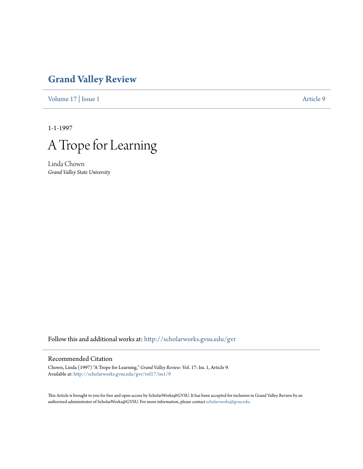## **[Grand Valley Review](http://scholarworks.gvsu.edu/gvr?utm_source=scholarworks.gvsu.edu%2Fgvr%2Fvol17%2Fiss1%2F9&utm_medium=PDF&utm_campaign=PDFCoverPages)**

[Volume 17](http://scholarworks.gvsu.edu/gvr/vol17?utm_source=scholarworks.gvsu.edu%2Fgvr%2Fvol17%2Fiss1%2F9&utm_medium=PDF&utm_campaign=PDFCoverPages) | [Issue 1](http://scholarworks.gvsu.edu/gvr/vol17/iss1?utm_source=scholarworks.gvsu.edu%2Fgvr%2Fvol17%2Fiss1%2F9&utm_medium=PDF&utm_campaign=PDFCoverPages) [Article 9](http://scholarworks.gvsu.edu/gvr/vol17/iss1/9?utm_source=scholarworks.gvsu.edu%2Fgvr%2Fvol17%2Fiss1%2F9&utm_medium=PDF&utm_campaign=PDFCoverPages)

1-1-1997



Linda Chown *Grand Valley State University*

Follow this and additional works at: [http://scholarworks.gvsu.edu/gvr](http://scholarworks.gvsu.edu/gvr?utm_source=scholarworks.gvsu.edu%2Fgvr%2Fvol17%2Fiss1%2F9&utm_medium=PDF&utm_campaign=PDFCoverPages)

## Recommended Citation

Chown, Linda (1997) "A Trope for Learning," *Grand Valley Review*: Vol. 17: Iss. 1, Article 9. Available at: [http://scholarworks.gvsu.edu/gvr/vol17/iss1/9](http://scholarworks.gvsu.edu/gvr/vol17/iss1/9?utm_source=scholarworks.gvsu.edu%2Fgvr%2Fvol17%2Fiss1%2F9&utm_medium=PDF&utm_campaign=PDFCoverPages)

This Article is brought to you for free and open access by ScholarWorks@GVSU. It has been accepted for inclusion in Grand Valley Review by an authorized administrator of ScholarWorks@GVSU. For more information, please contact [scholarworks@gvsu.edu.](mailto:scholarworks@gvsu.edu)